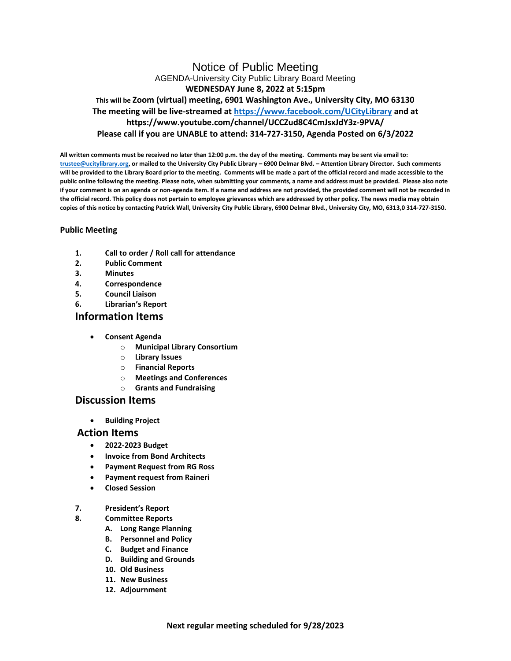# Notice of Public Meeting AGENDA-University City Public Library Board Meeting **WEDNESDAY June 8, 2022 at 5:15pm This will be Zoom (virtual) meeting, 6901 Washington Ave., University City, MO 63130 The meeting will be live-streamed at<https://www.facebook.com/UCityLibrary> and at https://www.youtube.com/channel/UCCZud8C4CmJsxJdY3z-9PVA/ Please call if you are UNABLE to attend: 314-727-3150, Agenda Posted on 6/3/2022**

**All written comments must be received no later than 12:00 p.m. the day of the meeting. Comments may be sent via email to: [trustee@ucitylibrary.org,](mailto:trustee@ucitylibrary.org) or mailed to the University City Public Library – 6900 Delmar Blvd. – Attention Library Director. Such comments will be provided to the Library Board prior to the meeting. Comments will be made a part of the official record and made accessible to the public online following the meeting. Please note, when submitting your comments, a name and address must be provided. Please also note if your comment is on an agenda or non-agenda item. If a name and address are not provided, the provided comment will not be recorded in the official record. This policy does not pertain to employee grievances which are addressed by other policy. The news media may obtain copies of this notice by contacting Patrick Wall, University City Public Library, 6900 Delmar Blvd., University City, MO, 6313,0 314-727-3150.**

## **Public Meeting**

- **1. Call to order / Roll call for attendance**
- **2. Public Comment**
- **3. Minutes**
- **4. Correspondence**
- **5. Council Liaison**
- **6. Librarian's Report**

## **Information Items**

- **Consent Agenda**
	- o **Municipal Library Consortium**
	- o **Library Issues**
	- o **Financial Reports**
	- o **Meetings and Conferences**
	- o **Grants and Fundraising**

# **Discussion Items**

• **Building Project**

## **Action Items**

- **2022-2023 Budget**
- **Invoice from Bond Architects**
- **Payment Request from RG Ross**
- **Payment request from Raineri**
- **Closed Session**
- **7. President's Report**
- **8. Committee Reports**
	- **A. Long Range Planning**
	- **B. Personnel and Policy**
	- **C. Budget and Finance**
	- **D. Building and Grounds**
	- **10. Old Business**
	- **11. New Business**
	- **12. Adjournment**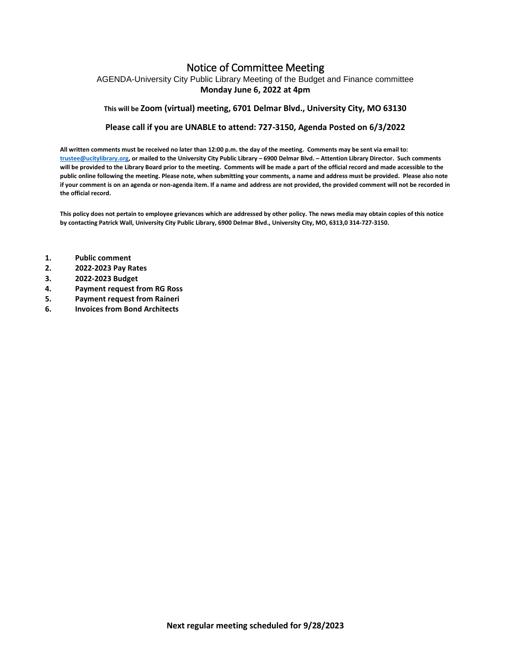# Notice of Committee Meeting

AGENDA-University City Public Library Meeting of the Budget and Finance committee **Monday June 6, 2022 at 4pm**

### **This will be Zoom (virtual) meeting, 6701 Delmar Blvd., University City, MO 63130**

#### **Please call if you are UNABLE to attend: 727-3150, Agenda Posted on 6/3/2022**

**All written comments must be received no later than 12:00 p.m. the day of the meeting. Comments may be sent via email to: [trustee@ucitylibrary.org,](mailto:trustee@ucitylibrary.org) or mailed to the University City Public Library – 6900 Delmar Blvd. – Attention Library Director. Such comments will be provided to the Library Board prior to the meeting. Comments will be made a part of the official record and made accessible to the public online following the meeting. Please note, when submitting your comments, a name and address must be provided. Please also note if your comment is on an agenda or non-agenda item. If a name and address are not provided, the provided comment will not be recorded in the official record.**

**This policy does not pertain to employee grievances which are addressed by other policy. The news media may obtain copies of this notice by contacting Patrick Wall, University City Public Library, 6900 Delmar Blvd., University City, MO, 6313,0 314-727-3150.**

- **1. Public comment**
- **2. 2022-2023 Pay Rates**
- **3. 2022-2023 Budget**
- **4. Payment request from RG Ross**
- **5. Payment request from Raineri**
- **6. Invoices from Bond Architects**